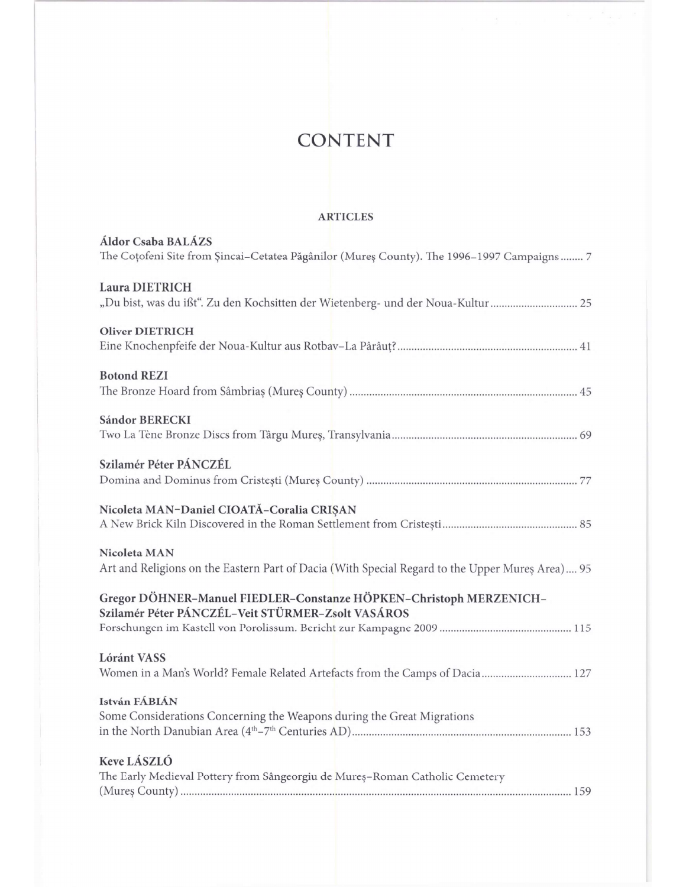## **CONTENT**

## **ARTICLES**

| <b>Áldor Csaba BALÁZS</b><br>The Coțofeni Site from Șincai-Cetatea Păgânilor (Mureș County). The 1996-1997 Campaigns  7 |
|-------------------------------------------------------------------------------------------------------------------------|
| Laura DIETRICH<br>"Du bist, was du ifst". Zu den Kochsitten der Wietenberg- und der Noua-Kultur  25                     |
| <b>Oliver DIETRICH</b>                                                                                                  |
| <b>Botond REZI</b>                                                                                                      |
| <b>Sándor BERECKI</b>                                                                                                   |
| Szilamér Péter PÁNCZÉL                                                                                                  |
| Nicoleta MAN-Daniel CIOATĂ-Coralia CRIȘAN                                                                               |
| Nicoleta MAN<br>Art and Religions on the Eastern Part of Dacia (With Special Regard to the Upper Mureș Area) 95         |
| Gregor DÖHNER-Manuel FIEDLER-Constanze HÖPKEN-Christoph MERZENICH-<br>Szilamér Péter PÁNCZÉL-Veit STÜRMER-Zsolt VASÁROS |
| <b>Lóránt VASS</b><br>Women in a Man's World? Female Related Artefacts from the Camps of Dacia 127                      |
| István FÁBIÁN<br>Some Considerations Concerning the Weapons during the Great Migrations                                 |
| Keve LÁSZLÓ<br>The Early Medieval Pottery from Sângeorgiu de Mureș-Roman Catholic Cemetery                              |